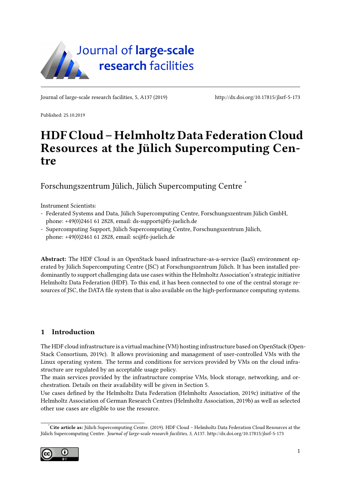

Journal of large-scale research facilities, 5, A137 (2019)<http://dx.doi.org/10.17815/jlsrf-5-173>

Published: 25.10.2019

# HDF Cloud – Helmholtz Data Federation Cloud Resources at the Jülich Supercomputing Centre

Forschungszentrum Jülich, Jülich Supercomputing Centre [\\*](#page-0-0)

Instrument Scientists:

- Federated Systems and Data, Jülich Supercomputing Centre, Forschungszentrum Jülich GmbH, phone: +49(0)2461 61 2828, email: [ds-support@fz-juelich.de](mailto:ds-support@fz-juelich.de)
- Supercomputing Support, Jülich Supercomputing Centre, Forschungszentrum Jülich, phone: +49(0)2461 61 2828, email: [sc@fz-juelich.de](mailto:sc@fz-juelich.de)

Abstract: The HDF Cloud is an OpenStack based infrastructure-as-a-service (IaaS) environment operated by Jülich Supercomputing Centre (JSC) at Forschungszentrum Jülich. It has been installed predominantly to support challenging data use cases within the Helmholtz Association's strategic initiative Helmholtz Data Federation (HDF). To this end, it has been connected to one of the central storage resources of JSC, the DATA file system that is also available on the high-performance computing systems.

## 1 Introduction

The HDF cloud infrastructure is a virtual machine (VM) hosting infrastructure based on OpenStack [\(Open](#page-6-0)-[Stack Consortium, 2019c\)](#page-6-0). It allows provisioning and management of user-controlled VMs with the Linux operating system. The terms and conditions for services provided by VMs on the cloud infrastructure are regulated by an acceptable usage policy.

The main services provided by the infrastructure comprise VMs, block storage, networking, and orchestration. Details on their availability will be given in Section [5.](#page-3-0)

Use cases defined by the Helmholtz Data Federation [\(Helmholtz Association, 2019c\)](#page-5-0) initiative of the Helmholtz Association of German Research Centres [\(Helmholtz Association, 2019b\)](#page-5-1) as well as selected other use cases are eligible to use the resource.

<span id="page-0-0"></span>Cite article as: Jülich Supercomputing Centre. (2019). HDF Cloud - Helmholtz Data Federation Cloud Resources at the Jülich Supercomputing Centre. Journal of large-scale research facilities, 5, A137.<http://dx.doi.org/10.17815/jlsrf-5-173>

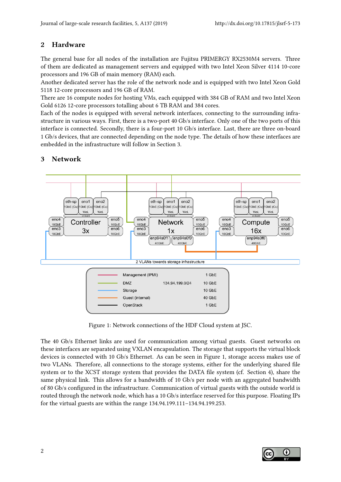## 2 Hardware

The general base for all nodes of the installation are Fujitsu PRIMERGY RX2530M4 servers. Three of them are dedicated as management servers and equipped with two Intel Xeon Silver 4114 10-core processors and 196 GB of main memory (RAM) each.

Another dedicated server has the role of the network node and is equipped with two Intel Xeon Gold 5118 12-core processors and 196 GB of RAM.

There are 16 compute nodes for hosting VMs, each equipped with 384 GB of RAM and two Intel Xeon Gold 6126 12-core processors totalling about 6 TB RAM and 384 cores.

Each of the nodes is equipped with several network interfaces, connecting to the surrounding infrastructure in various ways. First, there is a two-port 40 Gb/s interface. Only one of the two ports of this interface is connected. Secondly, there is a four-port 10 Gb/s interface. Last, there are three on-board 1 Gb/s devices, that are connected depending on the node type. The details of how these interfaces are embedded in the infrastructure will follow in Section [3.](#page-1-0)



# <span id="page-1-0"></span>3 Network

<span id="page-1-1"></span>Figure 1: Network connections of the HDF Cloud system at JSC.

The 40 Gb/s Ethernet links are used for communication among virtual guests. Guest networks on these interfaces are separated using VXLAN encapsulation. The storage that supports the virtual block devices is connected with 10 Gb/s Ethernet. As can be seen in Figure [1,](#page-1-1) storage access makes use of two VLANs. Therefore, all connections to the storage systems, either for the underlying shared file system or to the XCST storage system that provides the DATA file system (cf. Section [4\)](#page-2-0), share the same physical link. This allows for a bandwidth of 10 Gb/s per node with an aggregated bandwidth of 80 Gb/s configured in the infrastructure. Communication of virtual guests with the outside world is routed through the network node, which has a 10 Gb/s interface reserved for this purpose. Floating IPs for the virtual guests are within the range 134.94.199.111–134.94.199.253.

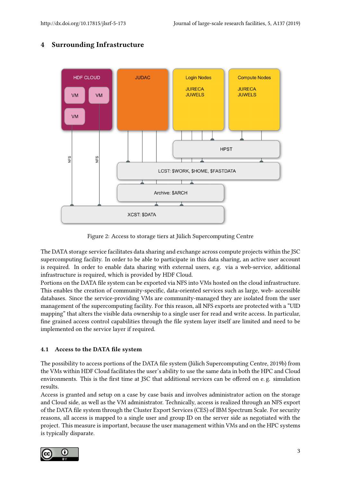

## <span id="page-2-0"></span>4 Surrounding Infrastructure

<span id="page-2-1"></span>Figure 2: Access to storage tiers at Jülich Supercomputing Centre

The DATA storage service facilitates data sharing and exchange across compute projects within the JSC supercomputing facility. In order to be able to participate in this data sharing, an active user account is required. In order to enable data sharing with external users, e.g. via a web-service, additional infrastructure is required, which is provided by HDF Cloud.

Portions on the DATA file system can be exported via NFS into VMs hosted on the cloud infrastructure. This enables the creation of community-specific, data-oriented services such as large, web- accessible databases. Since the service-providing VMs are community-managed they are isolated from the user management of the supercomputing facility. For this reason, all NFS exports are protected with a "UID mapping" that alters the visible data ownership to a single user for read and write access. In particular, fine grained access control capabilities through the file system layer itself are limited and need to be implemented on the service layer if required.

#### <span id="page-2-2"></span>4.1 Access to the DATA file system

The possibility to access portions of the DATA file system [\(Jülich Supercomputing Centre, 2019b\)](#page-6-1) from the VMs within HDF Cloud facilitates the user's ability to use the same data in both the HPC and Cloud environments. This is the first time at JSC that additional services can be offered on e.g. simulation results.

Access is granted and setup on a case by case basis and involves administrator action on the storage and Cloud side, as well as the VM administrator. Technically, access is realized through an NFS export of the DATA file system through the Cluster Export Services (CES) of IBM Spectrum Scale. For security reasons, all access is mapped to a single user and group ID on the server side as negotiated with the project. This measure is important, because the user management within VMs and on the HPC systems is typically disparate.

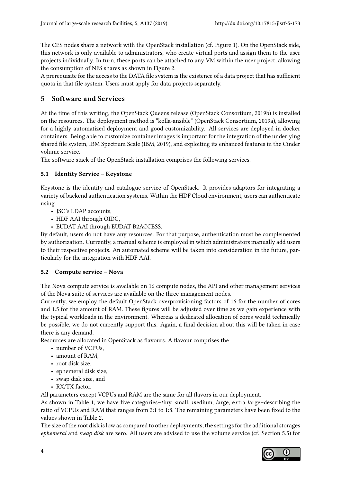The CES nodes share a network with the OpenStack installation (cf. Figure [1\)](#page-1-1). On the OpenStack side, this network is only available to administrators, who create virtual ports and assign them to the user projects individually. In turn, these ports can be attached to any VM within the user project, allowing the consumption of NFS shares as shown in Figure [2.](#page-2-1)

A prerequisite for the access to the DATA file system is the existence of a data project that has sufficient quota in that file system. Users must apply for data projects separately.

# <span id="page-3-0"></span>5 Software and Services

At the time of this writing, the OpenStack Queens release [\(OpenStack Consortium, 2019b\)](#page-6-2) is installed on the resources. The deployment method is "kolla-ansible" [\(OpenStack Consortium, 2019a\)](#page-6-3), allowing for a highly automatized deployment and good customizability. All services are deployed in docker containers. Being able to customize container images is important for the integration of the underlying shared file system, IBM Spectrum Scale [\(IBM, 2019\)](#page-5-2), and exploiting its enhanced features in the Cinder volume service.

The software stack of the OpenStack installation comprises the following services.

## 5.1 Identity Service – Keystone

Keystone is the identity and catalogue service of OpenStack. It provides adaptors for integrating a variety of backend authentication systems. Within the HDF Cloud environment, users can authenticate using

- JSC's LDAP accounts,
- HDF AAI through OIDC,
- EUDAT AAI through EUDAT B2ACCESS.

By default, users do not have any resources. For that purpose, authentication must be complemented by authorization. Currently, a manual scheme is employed in which administrators manually add users to their respective projects. An automated scheme will be taken into consideration in the future, particularly for the integration with HDF AAI.

#### 5.2 Compute service – Nova

The Nova compute service is available on 16 compute nodes, the API and other management services of the Nova suite of services are available on the three management nodes.

Currently, we employ the default OpenStack overprovisioning factors of 16 for the number of cores and 1.5 for the amount of RAM. These figures will be adjusted over time as we gain experience with the typical workloads in the environment. Whereas a dedicated allocation of cores would technically be possible, we do not currently support this. Again, a final decision about this will be taken in case there is any demand.

Resources are allocated in OpenStack as flavours. A flavour comprises the

- number of VCPUs,
- amount of RAM,
- root disk size,
- ephemeral disk size,
- swap disk size, and
- RX/TX factor.

All parameters except VCPUs and RAM are the same for all flavors in our deployment.

As shown in Table [1,](#page-4-0) we have five categories–tiny, small, medium, large, extra large–describing the ratio of VCPUs and RAM that ranges from 2:1 to 1:8. The remaining parameters have been fixed to the values shown in Table [2.](#page-4-1)

The size of the root disk is low as compared to other deployments, the settings for the additional storages ephemeral and swap disk are zero. All users are advised to use the volume service (cf. Section [5.5\)](#page-4-2) for

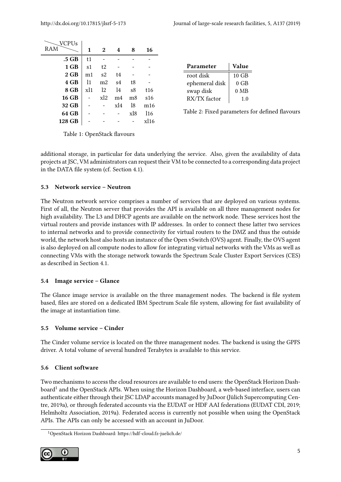| VCPUs        |     |                |                   |     |                   |
|--------------|-----|----------------|-------------------|-----|-------------------|
| RAM          | 1   | 2              | 4                 | 8   | 16                |
| .5 GB        | t1  |                |                   |     |                   |
| 1 GB         | s1  | t2             |                   |     |                   |
| $2$ GB       | m1  | s2             | t4                |     |                   |
| 4 GB         | 11  | m <sub>2</sub> | s <sub>4</sub>    | t8  |                   |
| 8 GB         | x11 | 12             | 14                | s8  | t16               |
| <b>16 GB</b> |     | x12            | m <sub>4</sub>    | m8  | s <sub>16</sub>   |
| 32 GB        |     |                | $x$ <sub>14</sub> | 18  | m16               |
| 64 GB        |     |                |                   | xl8 | 116               |
| 128 GB       |     |                |                   |     | $x$ <sub>16</sub> |

| Parameter      | Value           |  |  |
|----------------|-----------------|--|--|
| root disk      | $10 \text{ GB}$ |  |  |
| ephemeral disk | 0 GB            |  |  |
| swap disk      | $0$ MB          |  |  |
| RX/TX factor   | 10              |  |  |

<span id="page-4-1"></span>Table 2: Fixed parameters for defined flavours

<span id="page-4-0"></span>Table 1: OpenStack flavours

additional storage, in particular for data underlying the service. Also, given the availability of data projects at JSC, VM administrators can request their VM to be connected to a corresponding data project in the DATA file system (cf. Section [4.1\)](#page-2-2).

#### 5.3 Network service – Neutron

The Neutron network service comprises a number of services that are deployed on various systems. First of all, the Neutron server that provides the API is available on all three management nodes for high availability. The L3 and DHCP agents are available on the network node. These services host the virtual routers and provide instances with IP addresses. In order to connect these latter two services to internal networks and to provide connectivity for virtual routers to the DMZ and thus the outside world, the network host also hosts an instance of the Open vSwitch (OVS) agent. Finally, the OVS agent is also deployed on all compute nodes to allow for integrating virtual networks with the VMs as well as connecting VMs with the storage network towards the Spectrum Scale Cluster Export Services (CES) as described in Section [4.1.](#page-2-2)

#### 5.4 Image service – Glance

The Glance image service is available on the three management nodes. The backend is file system based, files are stored on a dedicated IBM Spectrum Scale file system, allowing for fast availability of the image at instantiation time.

#### <span id="page-4-2"></span>5.5 Volume service – Cinder

The Cinder volume service is located on the three management nodes. The backend is using the GPFS driver. A total volume of several hundred Terabytes is available to this service.

#### 5.6 Client software

Two mechanisms to access the cloud resources are available to end users: the OpenStack Horizon Dash-board<sup>[1](#page-4-3)</sup> and the OpenStack APIs. When using the Horizon Dashboard, a web-based interface, users can authenticate either through their JSC LDAP accounts managed by JuDoor [\(Jülich Supercomputing Cen](#page-5-3)[tre, 2019a\)](#page-5-3), or through federated accounts via the EUDAT or HDF AAI federations [\(EUDAT CDI, 2019;](#page-5-4) [Helmholtz Association, 2019a\)](#page-5-5). Federated access is currently not possible when using the OpenStack APIs. The APIs can only be accessed with an account in JuDoor.

<span id="page-4-3"></span><sup>1</sup>OpenStack Horizon Dashboard: [https://hdf -cloud.fz-juelich.de/](https://hdf-cloud.fz-juelich.de/)

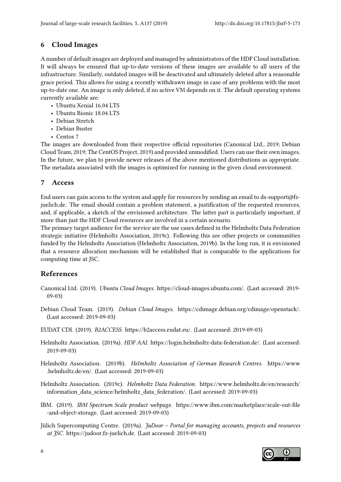## 6 Cloud Images

A number of default images are deployed and managed by administrators of the HDF Cloud installation. It will always be ensured that up-to-date versions of these images are available to all users of the infrastructure. Similarly, outdated images will be deactivated and ultimately deleted after a reasonable grace period. This allows for using a recently withdrawn image in case of any problems with the most up-to-date one. An image is only deleted, if no active VM depends on it. The default operating systems currently available are:

- Ubuntu Xenial 16.04 LTS
- Ubuntu Bionic 18.04 LTS
- Debian Stretch
- Debian Buster
- Centos 7

The images are downloaded from their respective official repositories [\(Canonical Ltd., 2019;](#page-5-6) [Debian](#page-5-7) [Cloud Team, 2019;](#page-5-7) [The CentOS Project, 2019\)](#page-6-4) and provided unmodified. Users can use their own images. In the future, we plan to provide newer releases of the above mentioned distributions as appropriate. The metadata associated with the images is optimized for running in the given cloud environment.

## 7 Access

End users can gain access to the system and apply for resources by sending an email to [ds-support@fz](mailto:ds-support@fz-juelich.de)[juelich.de.](mailto:ds-support@fz-juelich.de) The email should contain a problem statement, a justification of the requested resources, and, if applicable, a sketch of the envisioned architecture. The latter part is particularly important, if more than just the HDF Cloud resources are involved in a certain scenario.

The primary target audience for the service are the use cases defined in the Helmholtz Data Federation strategic initiative [\(Helmholtz Association, 2019c\)](#page-5-0). Following this are other projects or communities funded by the Helmholtz Association [\(Helmholtz Association, 2019b\)](#page-5-1). In the long run, it is envisioned that a resource allocation mechanism will be established that is comparable to the applications for computing time at JSC.

## References

- <span id="page-5-6"></span>Canonical Ltd. (2019). Ubuntu Cloud Images. [https://cloud-images.ubuntu.com/.](https://cloud-images.ubuntu.com/) (Last accessed: 2019- 09-03)
- <span id="page-5-7"></span>Debian Cloud Team. (2019). Debian Cloud Images. [https://cdimage.debian.org/cdimage/openstack/.](https://cdimage.debian.org/cdimage/openstack/) (Last accessed: 2019-09-03)
- <span id="page-5-4"></span>EUDAT CDI. (2019). B2ACCESS. [https://b2access.eudat.eu/.](https://b2access.eudat.eu/) (Last accessed: 2019-09-03)
- <span id="page-5-5"></span>Helmholtz Association. (2019a). HDF AAI. [https://login.helmholtz-data-federation.de/.](https://login.helmholtz-data-federation.de/) (Last accessed: 2019-09-03)
- <span id="page-5-1"></span>Helmholtz Association. (2019b). Helmholtz Association of German Research Centres. [https://www](https://www.helmholtz.de/en/) [.helmholtz.de/en/.](https://www.helmholtz.de/en/) (Last accessed: 2019-09-03)
- <span id="page-5-0"></span>Helmholtz Association. (2019c). Helmholtz Data Federation. [https://www.helmholtz.de/en/research/](https://www.helmholtz.de/en/research/information_data_science/helmholtz_data_federation/) [information\\_data\\_science/helmholtz\\_data\\_federation/.](https://www.helmholtz.de/en/research/information_data_science/helmholtz_data_federation/) (Last accessed: 2019-09-03)
- <span id="page-5-2"></span>IBM. (2019). IBM Spectrum Scale product webpage. https://www.ibm.com/marketplace/scale-out-file [-and-object-storage.](https://www.ibm.com/marketplace/scale-out-file-and-object-storage) (Last accessed: 2019-09-03)
- <span id="page-5-3"></span>Jülich Supercomputing Centre. (2019a). JuDoor – Portal for managing accounts, projects and resources at JSC. [https://judoor.fz-juelich.de.](https://judoor.fz-juelich.de) (Last accessed: 2019-09-03)